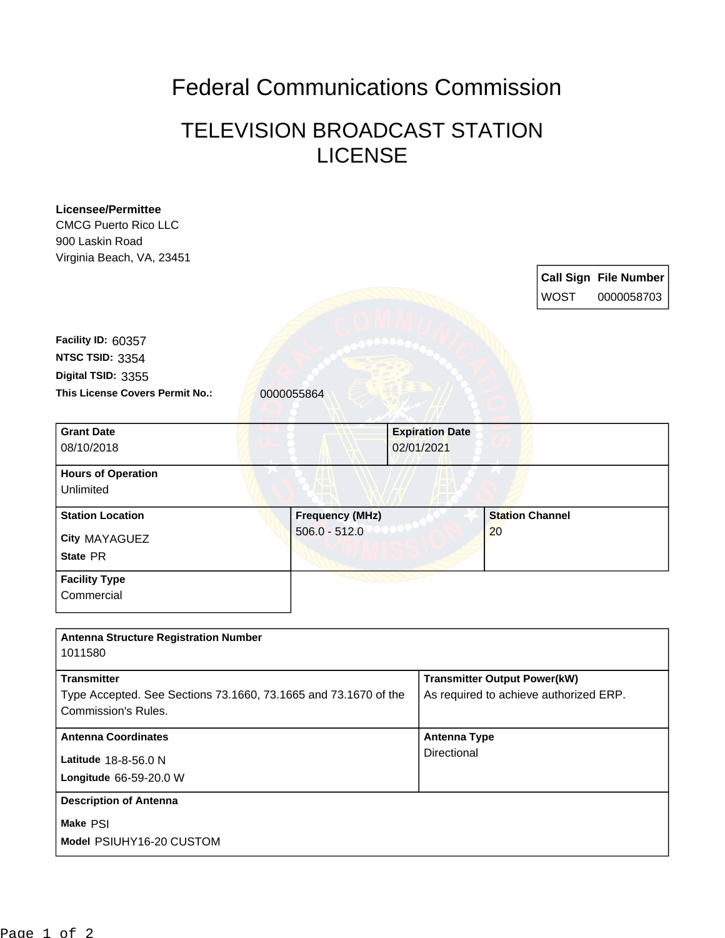## Federal Communications Commission

## TELEVISION BROADCAST STATION LICENSE

| <b>Licensee/Permittee</b><br><b>CMCG Puerto Rico LLC</b><br>900 Laskin Road<br>Virginia Beach, VA, 23451 |            |                        |  |                                        |                        |             |                                            |
|----------------------------------------------------------------------------------------------------------|------------|------------------------|--|----------------------------------------|------------------------|-------------|--------------------------------------------|
|                                                                                                          |            |                        |  |                                        |                        | <b>WOST</b> | <b>Call Sign File Number</b><br>0000058703 |
| Facility ID: 60357                                                                                       |            |                        |  |                                        |                        |             |                                            |
| NTSC TSID: 3354                                                                                          |            |                        |  |                                        |                        |             |                                            |
| Digital TSID: 3355                                                                                       |            |                        |  |                                        |                        |             |                                            |
| This License Covers Permit No.:                                                                          | 0000055864 |                        |  |                                        |                        |             |                                            |
| <b>Grant Date</b>                                                                                        |            |                        |  | <b>Expiration Date</b>                 |                        |             |                                            |
| 08/10/2018                                                                                               |            |                        |  | 02/01/2021                             |                        |             |                                            |
| <b>Hours of Operation</b>                                                                                |            |                        |  |                                        |                        |             |                                            |
| Unlimited                                                                                                |            |                        |  |                                        |                        |             |                                            |
| <b>Station Location</b>                                                                                  |            | <b>Frequency (MHz)</b> |  |                                        | <b>Station Channel</b> |             |                                            |
| City MAYAGUEZ                                                                                            |            | $506.0 - 512.0$        |  |                                        | 20                     |             |                                            |
| State PR                                                                                                 |            |                        |  |                                        |                        |             |                                            |
| <b>Facility Type</b>                                                                                     |            |                        |  |                                        |                        |             |                                            |
| Commercial                                                                                               |            |                        |  |                                        |                        |             |                                            |
| <b>Antenna Structure Registration Number</b>                                                             |            |                        |  |                                        |                        |             |                                            |
| 1011580                                                                                                  |            |                        |  |                                        |                        |             |                                            |
| <b>Transmitter</b>                                                                                       |            |                        |  | <b>Transmitter Output Power(kW)</b>    |                        |             |                                            |
| Type Accepted. See Sections 73.1660, 73.1665 and 73.1670 of the                                          |            |                        |  | As required to achieve authorized ERP. |                        |             |                                            |
| <b>Commission's Rules.</b>                                                                               |            |                        |  |                                        |                        |             |                                            |
| <b>Antenna Coordinates</b>                                                                               |            |                        |  | <b>Antenna Type</b>                    |                        |             |                                            |
| Latitude 18-8-56.0 N                                                                                     |            |                        |  | Directional                            |                        |             |                                            |
| Longitude 66-59-20.0 W                                                                                   |            |                        |  |                                        |                        |             |                                            |
| <b>Description of Antenna</b>                                                                            |            |                        |  |                                        |                        |             |                                            |
| Make PSI                                                                                                 |            |                        |  |                                        |                        |             |                                            |
| Model PSIUHY16-20 CUSTOM                                                                                 |            |                        |  |                                        |                        |             |                                            |
|                                                                                                          |            |                        |  |                                        |                        |             |                                            |